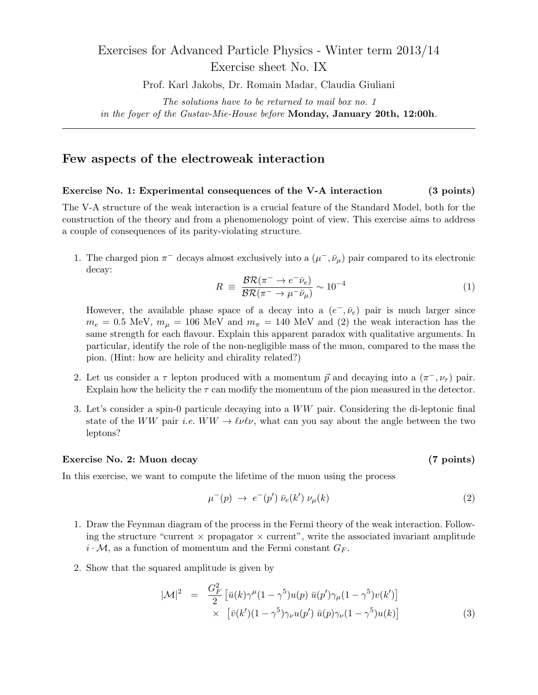## Exercises for Advanced Particle Physics - Winter term 2013/14 Exercise sheet No. IX

Prof. Karl Jakobs, Dr. Romain Madar, Claudia Giuliani

The solutions have to be returned to mail box no. 1 in the foyer of the Gustav-Mie-House before Monday, January 20th, 12:00h.

## Few aspects of the electroweak interaction

## Exercise No. 1: Experimental consequences of the V-A interaction (3 points)

The V-A structure of the weak interaction is a crucial feature of the Standard Model, both for the construction of the theory and from a phenomenology point of view. This exercise aims to address a couple of consequences of its parity-violating structure.

1. The charged pion  $\pi^-$  decays almost exclusively into a  $(\mu^-,\bar{\nu}_\mu)$  pair compared to its electronic decay:

$$
R \equiv \frac{\mathcal{BR}(\pi^- \to e^- \bar{\nu}_e)}{\mathcal{BR}(\pi^- \to \mu^- \bar{\nu}_\mu)} \sim 10^{-4} \tag{1}
$$

However, the available phase space of a decay into a  $(e^-, \bar{\nu}_e)$  pair is much larger since  $m_e = 0.5$  MeV,  $m_{\mu} = 106$  MeV and  $m_{\pi} = 140$  MeV and (2) the weak interaction has the same strength for each flavour. Explain this apparent paradox with qualitative arguments. In particular, identify the role of the non-negligible mass of the muon, compared to the mass the pion. (Hint: how are helicity and chirality related?)

- 2. Let us consider a  $\tau$  lepton produced with a momentum  $\vec{p}$  and decaying into a  $(\pi^{-}, \nu_{\tau})$  pair. Explain how the helicity the  $\tau$  can modify the momentum of the pion measured in the detector.
- 3. Let's consider a spin-0 particule decaying into a WW pair. Considering the di-leptonic final state of the WW pair *i.e.*  $WW \rightarrow \ell \nu \ell \nu$ , what can you say about the angle between the two leptons?

## Exercise No. 2: Muon decay (7 points)

In this exercise, we want to compute the lifetime of the muon using the process

$$
\mu^-(p) \rightarrow e^-(p') \bar{\nu}_e(k') \nu_\mu(k) \tag{2}
$$

- 1. Draw the Feynman diagram of the process in the Fermi theory of the weak interaction. Following the structure "current  $\times$  propagator  $\times$  current", write the associated invariant amplitude  $i \cdot \mathcal{M}$ , as a function of momentum and the Fermi constant  $G_F$ .
- 2. Show that the squared amplitude is given by

$$
|\mathcal{M}|^2 = \frac{G_F^2}{2} \left[ \bar{u}(k)\gamma^{\mu}(1-\gamma^5)u(p) \ \bar{u}(p')\gamma_{\mu}(1-\gamma^5)v(k') \right] \times \left[ \bar{v}(k')(1-\gamma^5)\gamma_{\nu}u(p') \ \bar{u}(p)\gamma_{\nu}(1-\gamma^5)u(k) \right]
$$
(3)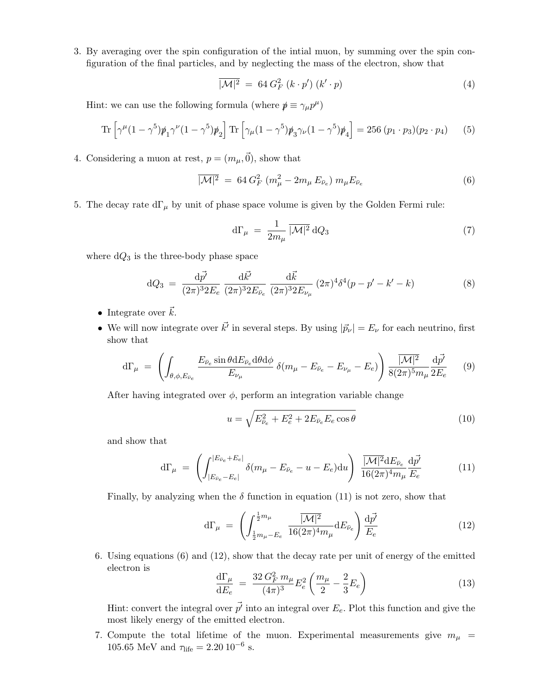3. By averaging over the spin configuration of the intial muon, by summing over the spin configuration of the final particles, and by neglecting the mass of the electron, show that

$$
\overline{|\mathcal{M}|^2} = 64 G_F^2 \left( k \cdot p' \right) \left( k' \cdot p \right) \tag{4}
$$

Hint: we can use the following formula (where  $p \equiv \gamma_\mu p^\mu$ )

Tr 
$$
\left[\gamma^{\mu}(1-\gamma^{5})\rlap{\,/}p_{1}\gamma^{\nu}(1-\gamma^{5})\rlap{\,/}p_{2}\right]
$$
 Tr  $\left[\gamma_{\mu}(1-\gamma^{5})\rlap{\,/}p_{3}\gamma_{\nu}(1-\gamma^{5})\rlap{\,/}p_{4}\right]$  = 256  $(p_{1} \cdot p_{3})(p_{2} \cdot p_{4})$  (5)

4. Considering a muon at rest,  $p = (m_{\mu}, \vec{0})$ , show that

$$
\overline{|\mathcal{M}|^2} = 64 G_F^2 (m_\mu^2 - 2m_\mu E_{\bar{\nu}_e}) m_\mu E_{\bar{\nu}_e}
$$
 (6)

5. The decay rate  $d\Gamma_{\mu}$  by unit of phase space volume is given by the Golden Fermi rule:

$$
d\Gamma_{\mu} = \frac{1}{2m_{\mu}} \overline{|\mathcal{M}|^2} dQ_3 \tag{7}
$$

where  $dQ_3$  is the three-body phase space

$$
dQ_3 = \frac{d\vec{p'}}{(2\pi)^3 2E_e} \frac{d\vec{k'}}{(2\pi)^3 2E_{\bar{\nu}_e}} \frac{d\vec{k}}{(2\pi)^3 2E_{\nu_\mu}} (2\pi)^4 \delta^4(p - p' - k' - k)
$$
 (8)

- Integrate over  $\vec{k}$ .
- We will now integrate over  $\vec{k'}$  in several steps. By using  $|\vec{p}_{\nu}| = E_{\nu}$  for each neutrino, first show that

$$
d\Gamma_{\mu} = \left( \int_{\theta,\phi,E_{\bar{\nu}_e}} \frac{E_{\bar{\nu}_e} \sin \theta dE_{\bar{\nu}_e} d\theta d\phi}{E_{\nu_{\mu}}} \delta(m_{\mu} - E_{\bar{\nu}_e} - E_{\nu_{\mu}} - E_e) \right) \frac{|\mathcal{M}|^2}{8(2\pi)^5 m_{\mu}} \frac{d\vec{p'}}{2E_e} \tag{9}
$$

After having integrated over  $\phi$ , perform an integration variable change

$$
u = \sqrt{E_{\bar{\nu}_e}^2 + E_e^2 + 2E_{\bar{\nu}_e}E_e \cos\theta}
$$
 (10)

and show that

$$
d\Gamma_{\mu} = \left( \int_{|E_{\bar{\nu}_e} - E_e|}^{|E_{\bar{\nu}_e} + E_e|} \delta(m_{\mu} - E_{\bar{\nu}_e} - u - E_e) du \right) \frac{|\overline{\mathcal{M}|^2} dE_{\bar{\nu}_e}}{16(2\pi)^4 m_{\mu}} \frac{d\vec{p'}}{E_e}
$$
(11)

Finally, by analyzing when the  $\delta$  function in equation (11) is not zero, show that

$$
d\Gamma_{\mu} = \left( \int_{\frac{1}{2}m_{\mu}-E_e}^{\frac{1}{2}m_{\mu}} \frac{\overline{|\mathcal{M}|^2}}{16(2\pi)^4 m_{\mu}} dE_{\bar{\nu}_e} \right) \frac{d\vec{p'}}{E_e}
$$
(12)

6. Using equations (6) and (12), show that the decay rate per unit of energy of the emitted electron is

$$
\frac{d\Gamma_{\mu}}{dE_{e}} = \frac{32 G_{F}^{2} m_{\mu}}{(4\pi)^{3}} E_{e}^{2} \left(\frac{m_{\mu}}{2} - \frac{2}{3} E_{e}\right)
$$
\n(13)

Hint: convert the integral over  $\vec{p'}$  into an integral over  $E_e$ . Plot this function and give the most likely energy of the emitted electron.

7. Compute the total lifetime of the muon. Experimental measurements give  $m_{\mu}$  = 105.65 MeV and  $\tau_{\text{life}} = 2.20 \, 10^{-6}$  s.